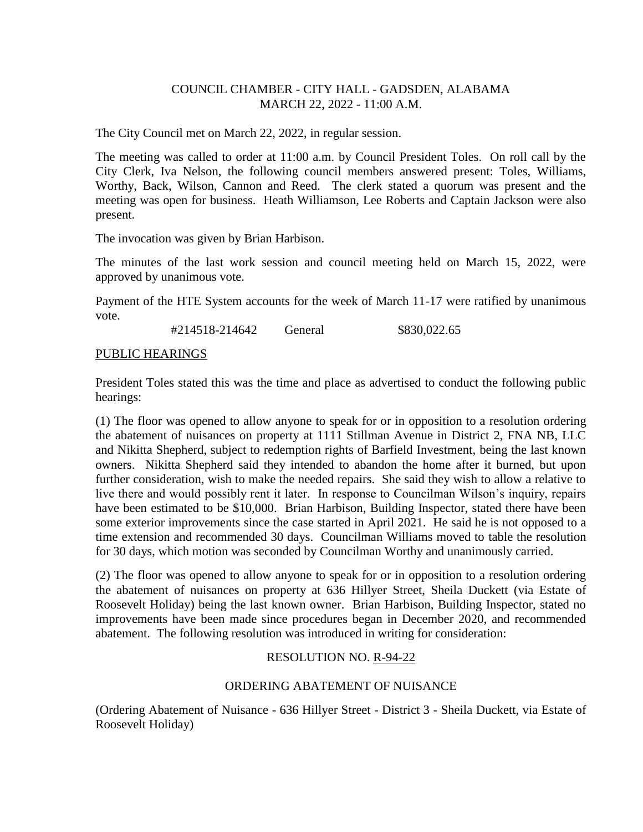# COUNCIL CHAMBER - CITY HALL - GADSDEN, ALABAMA MARCH 22, 2022 - 11:00 A.M.

The City Council met on March 22, 2022, in regular session.

The meeting was called to order at 11:00 a.m. by Council President Toles. On roll call by the City Clerk, Iva Nelson, the following council members answered present: Toles, Williams, Worthy, Back, Wilson, Cannon and Reed. The clerk stated a quorum was present and the meeting was open for business. Heath Williamson, Lee Roberts and Captain Jackson were also present.

The invocation was given by Brian Harbison.

The minutes of the last work session and council meeting held on March 15, 2022, were approved by unanimous vote.

Payment of the HTE System accounts for the week of March 11-17 were ratified by unanimous vote.

#214518-214642 General \$830,022.65

## PUBLIC HEARINGS

President Toles stated this was the time and place as advertised to conduct the following public hearings:

(1) The floor was opened to allow anyone to speak for or in opposition to a resolution ordering the abatement of nuisances on property at 1111 Stillman Avenue in District 2, FNA NB, LLC and Nikitta Shepherd, subject to redemption rights of Barfield Investment, being the last known owners. Nikitta Shepherd said they intended to abandon the home after it burned, but upon further consideration, wish to make the needed repairs. She said they wish to allow a relative to live there and would possibly rent it later. In response to Councilman Wilson's inquiry, repairs have been estimated to be \$10,000. Brian Harbison, Building Inspector, stated there have been some exterior improvements since the case started in April 2021. He said he is not opposed to a time extension and recommended 30 days. Councilman Williams moved to table the resolution for 30 days, which motion was seconded by Councilman Worthy and unanimously carried.

(2) The floor was opened to allow anyone to speak for or in opposition to a resolution ordering the abatement of nuisances on property at 636 Hillyer Street, Sheila Duckett (via Estate of Roosevelt Holiday) being the last known owner. Brian Harbison, Building Inspector, stated no improvements have been made since procedures began in December 2020, and recommended abatement. The following resolution was introduced in writing for consideration:

## RESOLUTION NO. R-94-22

## ORDERING ABATEMENT OF NUISANCE

(Ordering Abatement of Nuisance - 636 Hillyer Street - District 3 - Sheila Duckett, via Estate of Roosevelt Holiday)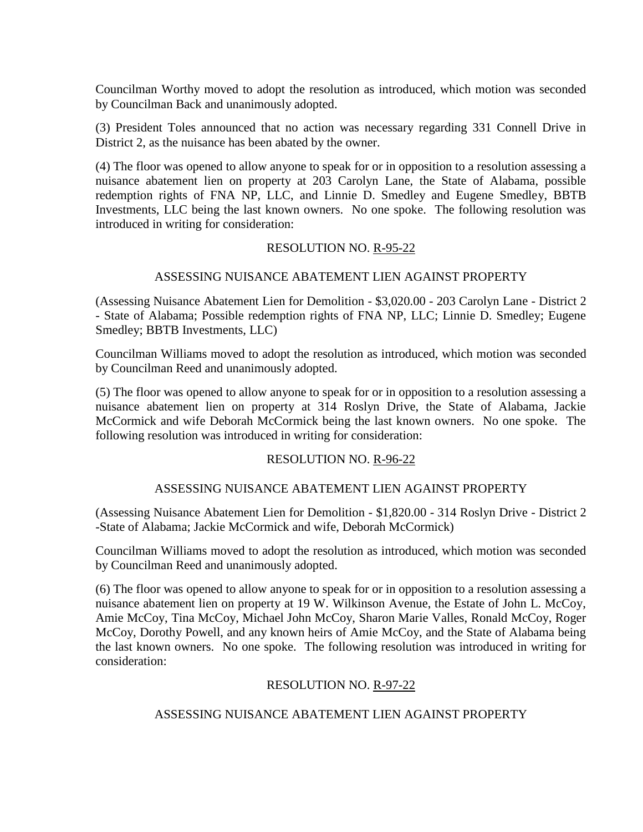Councilman Worthy moved to adopt the resolution as introduced, which motion was seconded by Councilman Back and unanimously adopted.

(3) President Toles announced that no action was necessary regarding 331 Connell Drive in District 2, as the nuisance has been abated by the owner.

(4) The floor was opened to allow anyone to speak for or in opposition to a resolution assessing a nuisance abatement lien on property at 203 Carolyn Lane, the State of Alabama, possible redemption rights of FNA NP, LLC, and Linnie D. Smedley and Eugene Smedley, BBTB Investments, LLC being the last known owners. No one spoke. The following resolution was introduced in writing for consideration:

## RESOLUTION NO. R-95-22

# ASSESSING NUISANCE ABATEMENT LIEN AGAINST PROPERTY

(Assessing Nuisance Abatement Lien for Demolition - \$3,020.00 - 203 Carolyn Lane - District 2 - State of Alabama; Possible redemption rights of FNA NP, LLC; Linnie D. Smedley; Eugene Smedley; BBTB Investments, LLC)

Councilman Williams moved to adopt the resolution as introduced, which motion was seconded by Councilman Reed and unanimously adopted.

(5) The floor was opened to allow anyone to speak for or in opposition to a resolution assessing a nuisance abatement lien on property at 314 Roslyn Drive, the State of Alabama, Jackie McCormick and wife Deborah McCormick being the last known owners. No one spoke. The following resolution was introduced in writing for consideration:

## RESOLUTION NO. R-96-22

# ASSESSING NUISANCE ABATEMENT LIEN AGAINST PROPERTY

(Assessing Nuisance Abatement Lien for Demolition - \$1,820.00 - 314 Roslyn Drive - District 2 -State of Alabama; Jackie McCormick and wife, Deborah McCormick)

Councilman Williams moved to adopt the resolution as introduced, which motion was seconded by Councilman Reed and unanimously adopted.

(6) The floor was opened to allow anyone to speak for or in opposition to a resolution assessing a nuisance abatement lien on property at 19 W. Wilkinson Avenue, the Estate of John L. McCoy, Amie McCoy, Tina McCoy, Michael John McCoy, Sharon Marie Valles, Ronald McCoy, Roger McCoy, Dorothy Powell, and any known heirs of Amie McCoy, and the State of Alabama being the last known owners. No one spoke. The following resolution was introduced in writing for consideration:

## RESOLUTION NO. R-97-22

# ASSESSING NUISANCE ABATEMENT LIEN AGAINST PROPERTY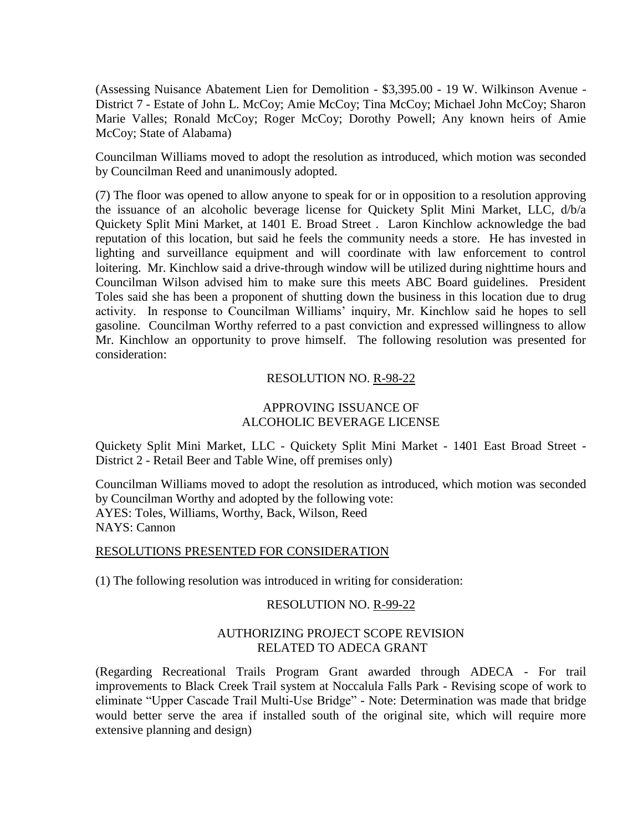(Assessing Nuisance Abatement Lien for Demolition - \$3,395.00 - 19 W. Wilkinson Avenue - District 7 - Estate of John L. McCoy; Amie McCoy; Tina McCoy; Michael John McCoy; Sharon Marie Valles; Ronald McCoy; Roger McCoy; Dorothy Powell; Any known heirs of Amie McCoy; State of Alabama)

Councilman Williams moved to adopt the resolution as introduced, which motion was seconded by Councilman Reed and unanimously adopted.

(7) The floor was opened to allow anyone to speak for or in opposition to a resolution approving the issuance of an alcoholic beverage license for Quickety Split Mini Market, LLC, d/b/a Quickety Split Mini Market, at 1401 E. Broad Street . Laron Kinchlow acknowledge the bad reputation of this location, but said he feels the community needs a store. He has invested in lighting and surveillance equipment and will coordinate with law enforcement to control loitering. Mr. Kinchlow said a drive-through window will be utilized during nighttime hours and Councilman Wilson advised him to make sure this meets ABC Board guidelines. President Toles said she has been a proponent of shutting down the business in this location due to drug activity. In response to Councilman Williams' inquiry, Mr. Kinchlow said he hopes to sell gasoline. Councilman Worthy referred to a past conviction and expressed willingness to allow Mr. Kinchlow an opportunity to prove himself. The following resolution was presented for consideration:

### RESOLUTION NO. R-98-22

# APPROVING ISSUANCE OF ALCOHOLIC BEVERAGE LICENSE

Quickety Split Mini Market, LLC - Quickety Split Mini Market - 1401 East Broad Street - District 2 - Retail Beer and Table Wine, off premises only)

Councilman Williams moved to adopt the resolution as introduced, which motion was seconded by Councilman Worthy and adopted by the following vote: AYES: Toles, Williams, Worthy, Back, Wilson, Reed NAYS: Cannon

#### RESOLUTIONS PRESENTED FOR CONSIDERATION

(1) The following resolution was introduced in writing for consideration:

#### RESOLUTION NO. R-99-22

## AUTHORIZING PROJECT SCOPE REVISION RELATED TO ADECA GRANT

(Regarding Recreational Trails Program Grant awarded through ADECA - For trail improvements to Black Creek Trail system at Noccalula Falls Park - Revising scope of work to eliminate "Upper Cascade Trail Multi-Use Bridge" - Note: Determination was made that bridge would better serve the area if installed south of the original site, which will require more extensive planning and design)